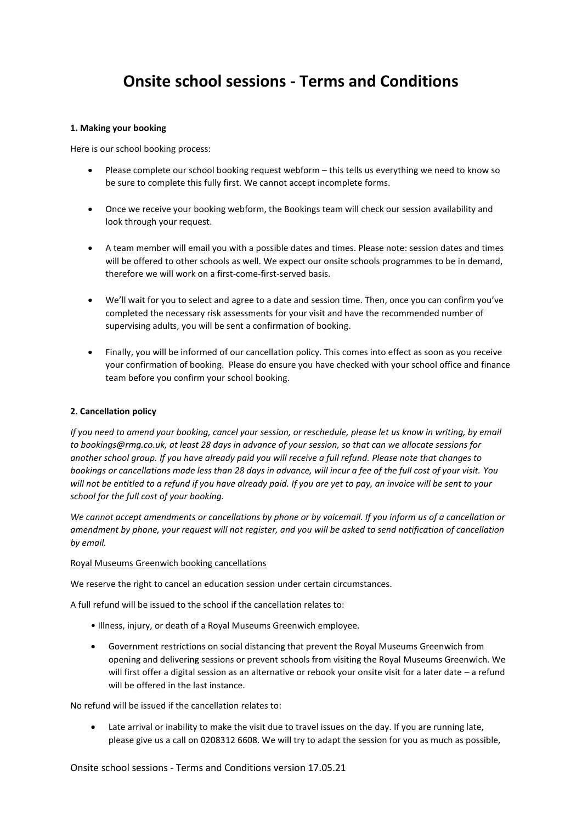# **Onsite school sessions - Terms and Conditions**

## **1. Making your booking**

Here is our school booking process:

- Please complete our school booking request webform this tells us everything we need to know so be sure to complete this fully first. We cannot accept incomplete forms.
- Once we receive your booking webform, the Bookings team will check our session availability and look through your request.
- A team member will email you with a possible dates and times. Please note: session dates and times will be offered to other schools as well. We expect our onsite schools programmes to be in demand, therefore we will work on a first-come-first-served basis.
- We'll wait for you to select and agree to a date and session time. Then, once you can confirm you've completed the necessary risk assessments for your visit and have the recommended number of supervising adults, you will be sent a confirmation of booking.
- Finally, you will be informed of our cancellation policy. This comes into effect as soon as you receive your confirmation of booking. Please do ensure you have checked with your school office and finance team before you confirm your school booking.

### **2**. **Cancellation policy**

*If you need to amend your booking, cancel your session, or reschedule, please let us know in writing, by email to bookings@rmg.co.uk, at least 28 days in advance of your session, so that can we allocate sessions for another school group. If you have already paid you will receive a full refund. Please note that changes to bookings or cancellations made less than 28 days in advance, will incur a fee of the full cost of your visit. You will not be entitled to a refund if you have already paid. If you are yet to pay, an invoice will be sent to your school for the full cost of your booking.*

*We cannot accept amendments or cancellations by phone or by voicemail. If you inform us of a cancellation or amendment by phone, your request will not register, and you will be asked to send notification of cancellation by email.*

#### Royal Museums Greenwich booking cancellations

We reserve the right to cancel an education session under certain circumstances.

A full refund will be issued to the school if the cancellation relates to:

- Illness, injury, or death of a Royal Museums Greenwich employee.
- Government restrictions on social distancing that prevent the Royal Museums Greenwich from opening and delivering sessions or prevent schools from visiting the Royal Museums Greenwich. We will first offer a digital session as an alternative or rebook your onsite visit for a later date – a refund will be offered in the last instance.

No refund will be issued if the cancellation relates to:

• Late arrival or inability to make the visit due to travel issues on the day. If you are running late, please give us a call on 0208312 6608. We will try to adapt the session for you as much as possible,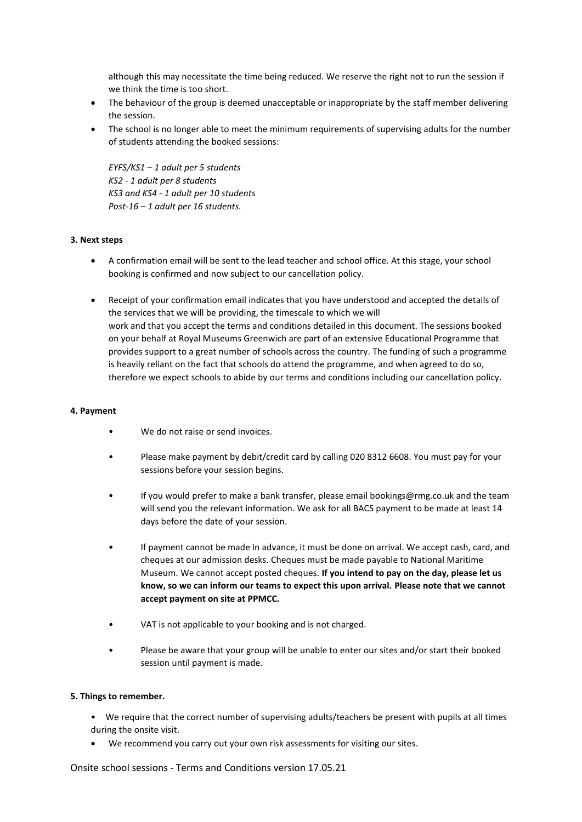although this may necessitate the time being reduced. We reserve the right not to run the session if we think the time is too short.

- The behaviour of the group is deemed unacceptable or inappropriate by the staff member delivering the session.
- The school is no longer able to meet the minimum requirements of supervising adults for the number of students attending the booked sessions:

*EYFS/KS1 – 1 adult per 5 students KS2 - 1 adult per 8 students KS3 and KS4 - 1 adult per 10 students Post-16 – 1 adult per 16 students.*

## **3. Next steps**

- A confirmation email will be sent to the lead teacher and school office. At this stage, your school booking is confirmed and now subject to our cancellation policy.
- Receipt of your confirmation email indicates that you have understood and accepted the details of the services that we will be providing, the timescale to which we will work and that you accept the terms and conditions detailed in this document. The sessions booked on your behalf at Royal Museums Greenwich are part of an extensive Educational Programme that provides support to a great number of schools across the country. The funding of such a programme is heavily reliant on the fact that schools do attend the programme, and when agreed to do so, therefore we expect schools to abide by our terms and conditions including our cancellation policy.

## **4. Payment**

- We do not raise or send invoices.
- Please make payment by debit/credit card by calling 020 8312 6608. You must pay for your sessions before your session begins.
- If you would prefer to make a bank transfer, please email bookings@rmg.co.uk and the team will send you the relevant information. We ask for all BACS payment to be made at least 14 days before the date of your session.
- If payment cannot be made in advance, it must be done on arrival. We accept cash, card, and cheques at our admission desks. Cheques must be made payable to National Maritime Museum. We cannot accept posted cheques. **If you intend to pay on the day, please let us know, so we can inform our teams to expect this upon arrival. Please note that we cannot accept payment on site at PPMCC.**
- VAT is not applicable to your booking and is not charged.
- Please be aware that your group will be unable to enter our sites and/or start their booked session until payment is made.

## **5. Things to remember.**

- We require that the correct number of supervising adults/teachers be present with pupils at all times during the onsite visit.
- We recommend you carry out your own risk assessments for visiting our sites.

Onsite school sessions - Terms and Conditions version 17.05.21